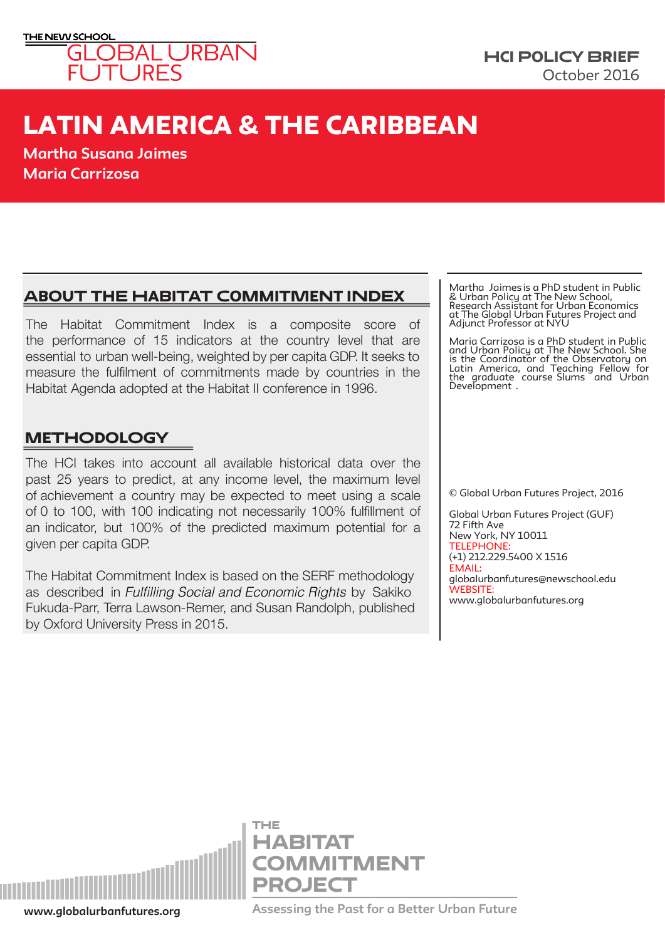

# LATIN AMERICA & THE CARIBBEAN

**Martha Susana Jaimes Maria Carrizosa**

## About the habitat commitment index

The Habitat Commitment Index is a composite score of the performance of 15 indicators at the country level that are essential to urban well-being, weighted by per capita GDP. It seeks to measure the fulfilment of commitments made by countries in the Habitat Agenda adopted at the Habitat II conference in 1996.

## **METHODOLOGY**

The HCI takes into account all available historical data over the past 25 years to predict, at any income level, the maximum level of achievement a country may be expected to meet using a scale of 0 to 100, with 100 indicating not necessarily 100% fulfillment of an indicator, but 100% of the predicted maximum potential for a given per capita GDP.

The Habitat Commitment Index is based on the SERF methodology as described in Fulfilling Social and Economic Rights by Sakiko Fukuda-Parr, Terra Lawson-Remer, and Susan Randolph, published by Oxford University Press in 2015.

Martha Jaimes is a PhD student in Public & Urban Policy at The New School, Research Assistant for Urban Economics at The Global Urban Futures Project and Adjunct Professor at NYU

Maria Carrizosa is a PhD student in Public and Urban Policy at The New School. She is the Coordinator of the Observatory on Latin America, and Teaching Fellow for the graduate course Slums and Urban Development.

© Global Urban Futures Project, 2016

Global Urban Futures Project (GUF) 72 Fifth Ave New York, NY 10011 TELEPHONE: (+1) 212.229.5400 X 1516 EMAIL: globalurbanfutures@newschool.edu WEBSITE: www.globalurbanfutures.org



**www.globalurbanfutures.org Assessing the Past for a Better Urban Future**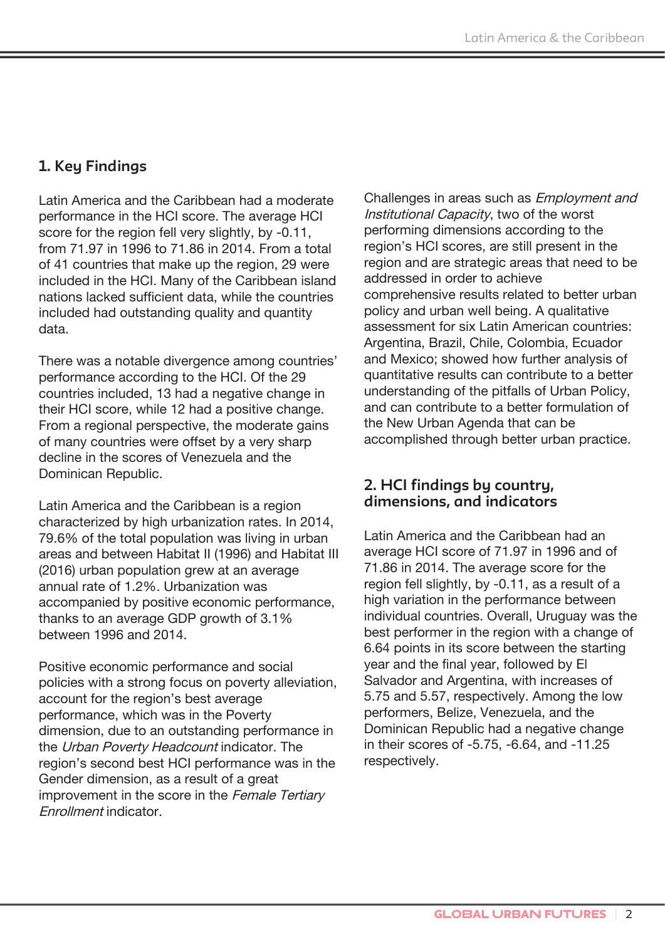### **1. Key Findings**

Latin America and the Caribbean had a moderate performance in the HCI score. The average HCI score for the region fell very slightly, by -0.11, from 71.97 in 1996 to 71.86 in 2014. From a total of 41 countries that make up the region, 29 were included in the HCI. Many of the Caribbean island nations lacked sufficient data, while the countries included had outstanding quality and quantity data.

There was a notable divergence among countries' performance according to the HCI. Of the 29 countries included, 13 had a negative change in their HCI score, while 12 had a positive change. From a regional perspective, the moderate gains of many countries were offset by a very sharp decline in the scores of Venezuela and the Dominican Republic.

Latin America and the Caribbean is a region characterized by high urbanization rates. In 2014, 79.6% of the total population was living in urban areas and between Habitat II (1996) and Habitat III (2016) urban population grew at an average annual rate of 1.2%. Urbanization was accompanied by positive economic performance, thanks to an average GDP growth of 3.1% between 1996 and 2014.

Positive economic performance and social policies with a strong focus on poverty alleviation, account for the region's best average performance, which was in the Poverty dimension, due to an outstanding performance in the Urban Poverty Headcount indicator. The region's second best HCI performance was in the Gender dimension, as a result of a great improvement in the score in the Female Tertiary Enrollment indicator.

Challenges in areas such as Employment and Institutional Capacity, two of the worst performing dimensions according to the region's HCI scores, are still present in the region and are strategic areas that need to be addressed in order to achieve comprehensive results related to better urban policy and urban well being. A qualitative assessment for six Latin American countries: Argentina, Brazil, Chile, Colombia, Ecuador and Mexico; showed how further analysis of quantitative results can contribute to a better understanding of the pitfalls of Urban Policy, and can contribute to a better formulation of the New Urban Agenda that can be accomplished through better urban practice.

#### **2. HCI findings by country, dimensions, and indicators**

Latin America and the Caribbean had an average HCI score of 71.97 in 1996 and of 71.86 in 2014. The average score for the region fell slightly, by -0.11, as a result of a high variation in the performance between individual countries. Overall, Uruguay was the best performer in the region with a change of 6.64 points in its score between the starting year and the final year, followed by El Salvador and Argentina, with increases of 5.75 and 5.57, respectively. Among the low performers, Belize, Venezuela, and the Dominican Republic had a negative change in their scores of -5.75, -6.64, and -11.25 respectively.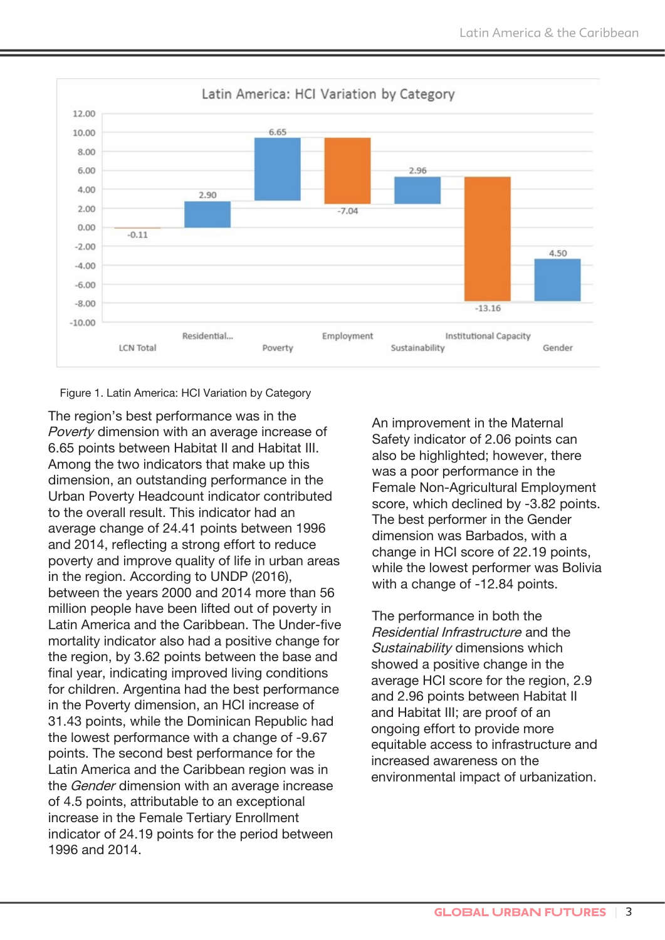

Figure 1. Latin America: HCI Variation by Category

The region's best performance was in the Poverty dimension with an average increase of 6.65 points between Habitat II and Habitat III. Among the two indicators that make up this dimension, an outstanding performance in the Urban Poverty Headcount indicator contributed to the overall result. This indicator had an average change of 24.41 points between 1996 and 2014, reflecting a strong effort to reduce poverty and improve quality of life in urban areas in the region. According to UNDP (2016), between the years 2000 and 2014 more than 56 million people have been lifted out of poverty in Latin America and the Caribbean. The Under-five mortality indicator also had a positive change for the region, by 3.62 points between the base and final year, indicating improved living conditions for children. Argentina had the best performance in the Poverty dimension, an HCI increase of 31.43 points, while the Dominican Republic had the lowest performance with a change of -9.67 points. The second best performance for the Latin America and the Caribbean region was in the Gender dimension with an average increase of 4.5 points, attributable to an exceptional increase in the Female Tertiary Enrollment indicator of 24.19 points for the period between 1996 and 2014.

An improvement in the Maternal Safety indicator of 2.06 points can also be highlighted; however, there was a poor performance in the Female Non-Agricultural Employment score, which declined by -3.82 points. The best performer in the Gender dimension was Barbados, with a change in HCI score of 22.19 points, while the lowest performer was Bolivia with a change of -12.84 points.

The performance in both the Residential Infrastructure and the Sustainability dimensions which showed a positive change in the average HCI score for the region, 2.9 and 2.96 points between Habitat II and Habitat III; are proof of an ongoing effort to provide more equitable access to infrastructure and increased awareness on the environmental impact of urbanization.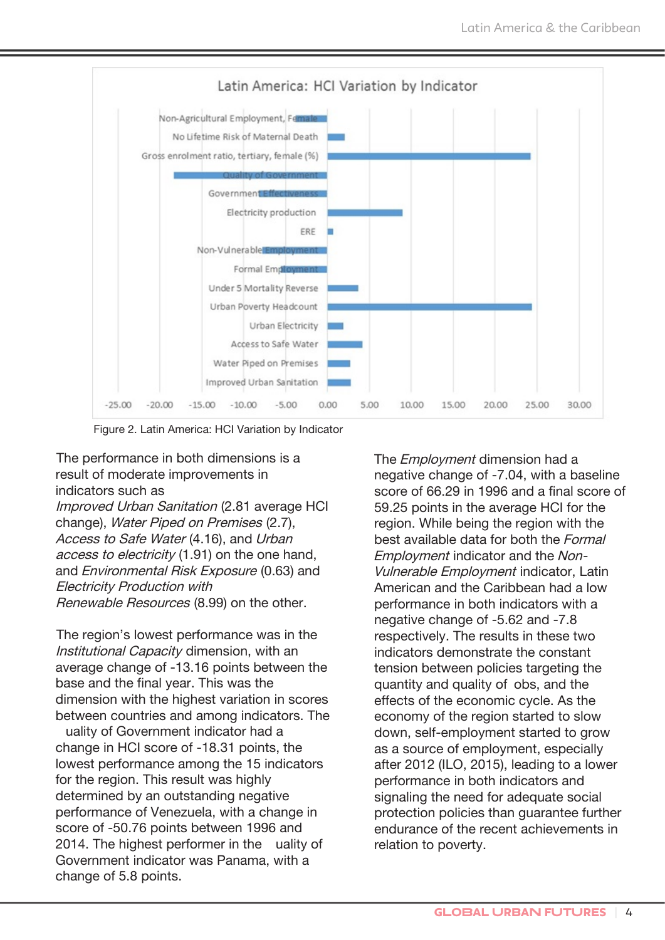

Figure 2. Latin America: HCI Variation by Indicator

The performance in both dimensions is a result of moderate improvements in indicators such as

Improved Urban Sanitation (2.81 average HCI change), Water Piped on Premises (2.7), Access to Safe Water (4.16), and Urban access to electricity (1.91) on the one hand, and Environmental Risk Exposure (0.63) and Electricity Production with Renewable Resources (8.99) on the other.

The region's lowest performance was in the Institutional Capacity dimension, with an average change of -13.16 points between the base and the final year. This was the dimension with the highest variation in scores between countries and among indicators. The

uality of Government indicator had a change in HCI score of -18.31 points, the lowest performance among the 15 indicators for the region. This result was highly determined by an outstanding negative performance of Venezuela, with a change in score of -50.76 points between 1996 and 2014. The highest performer in the uality of Government indicator was Panama, with a change of 5.8 points.

The *Employment* dimension had a negative change of -7.04, with a baseline score of 66.29 in 1996 and a final score of 59.25 points in the average HCI for the region. While being the region with the best available data for both the Formal Employment indicator and the Non-Vulnerable Employment indicator, Latin American and the Caribbean had a low performance in both indicators with a negative change of -5.62 and -7.8 respectively. The results in these two indicators demonstrate the constant tension between policies targeting the quantity and quality of obs, and the effects of the economic cycle. As the economy of the region started to slow down, self-employment started to grow as a source of employment, especially after 2012 (ILO, 2015), leading to a lower performance in both indicators and signaling the need for adequate social protection policies than guarantee further endurance of the recent achievements in relation to poverty.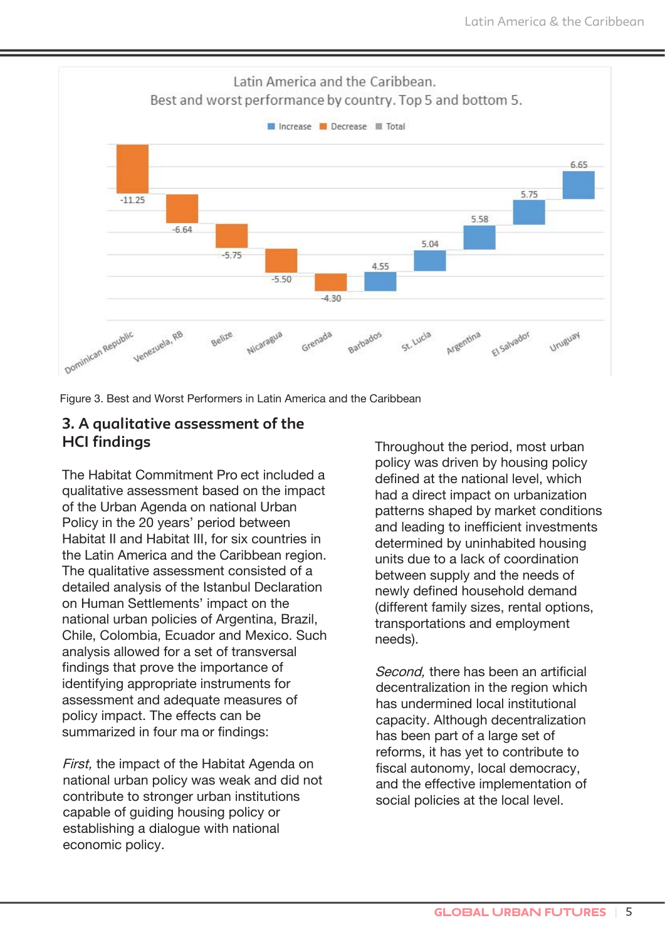

Figure 3. Best and Worst Performers in Latin America and the Caribbean

#### **3. A qualitative assessment of the HCI findings**

The Habitat Commitment Project included a qualitative assessment based on the impact of the Urban Agenda on national Urban Policy in the 20 years' period between Habitat II and Habitat III, for six countries in the Latin America and the Caribbean region. The qualitative assessment consisted of a detailed analysis of the Istanbul Declaration on Human Settlements' impact on the national urban policies of Argentina, Brazil, Chile, Colombia, Ecuador and Mexico. Such analysis allowed for a set of transversal findings that prove the importance of identifying appropriate instruments for assessment and adequate measures of policy impact. The effects can be summarized in four ma or findings:

First, the impact of the Habitat Agenda on national urban policy was weak and did not contribute to stronger urban institutions capable of guiding housing policy or establishing a dialogue with national economic policy.

Throughout the period, most urban policy was driven by housing policy defined at the national level, which had a direct impact on urbanization patterns shaped by market conditions and leading to inefficient investments determined by uninhabited housing units due to a lack of coordination between supply and the needs of newly defined household demand (different family sizes, rental options, transportations and employment needs).

Second, there has been an artificial decentralization in the region which has undermined local institutional capacity. Although decentralization has been part of a large set of reforms, it has yet to contribute to fiscal autonomy, local democracy, and the effective implementation of social policies at the local level.